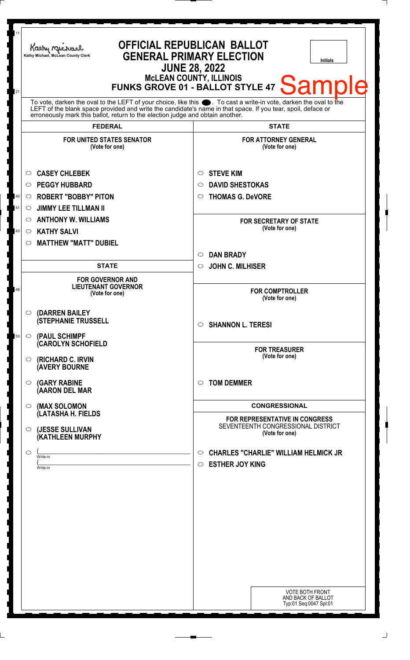| 11<br>21 | <b>OFFICIAL REPUBLICAN BALLOT</b><br>Kathy Michael<br><b>GENERAL PRIMARY ELECTION</b><br>Kathy Michael, McLean County Clerk<br><b>Initials</b><br><b>JUNE 28, 2022</b><br><b>MCLEAN COUNTY, ILLINOIS</b><br><b>Sample</b><br><b>FUNKS GROVE 01 - BALLOT STYLE 47</b><br>To vote, darken the oval to the LEFT of your choice, like this $\bullet$ . To cast a write-in vote, darken the oval to the LEFT of the blank space provided and write the candidate's name in that space. If you tear, spoil, deface<br>erroneously mark this ballot, return to the election judge and obtain another. |                                                                                                             |
|----------|------------------------------------------------------------------------------------------------------------------------------------------------------------------------------------------------------------------------------------------------------------------------------------------------------------------------------------------------------------------------------------------------------------------------------------------------------------------------------------------------------------------------------------------------------------------------------------------------|-------------------------------------------------------------------------------------------------------------|
|          |                                                                                                                                                                                                                                                                                                                                                                                                                                                                                                                                                                                                |                                                                                                             |
|          | <b>FEDERAL</b>                                                                                                                                                                                                                                                                                                                                                                                                                                                                                                                                                                                 | <b>STATE</b>                                                                                                |
|          | <b>FOR UNITED STATES SENATOR</b><br>(Vote for one)<br><b>CASEY CHLEBEK</b><br>$\circ$                                                                                                                                                                                                                                                                                                                                                                                                                                                                                                          | <b>FOR ATTORNEY GENERAL</b><br>(Vote for one)<br><b>STEVE KIM</b><br>$\circ$                                |
|          | <b>PEGGY HUBBARD</b><br>$\circ$                                                                                                                                                                                                                                                                                                                                                                                                                                                                                                                                                                | <b>DAVID SHESTOKAS</b><br>◯                                                                                 |
| 40<br>41 | <b>ROBERT "BOBBY" PITON</b><br>O<br><b>JIMMY LEE TILLMAN II</b><br>◯                                                                                                                                                                                                                                                                                                                                                                                                                                                                                                                           | <b>THOMAS G. DeVORE</b><br>O                                                                                |
| 43       | <b>ANTHONY W. WILLIAMS</b><br>$\circ$<br><b>KATHY SALVI</b><br>$\circ$<br><b>MATTHEW "MATT" DUBIEL</b><br>O                                                                                                                                                                                                                                                                                                                                                                                                                                                                                    | <b>FOR SECRETARY OF STATE</b><br>(Vote for one)                                                             |
|          |                                                                                                                                                                                                                                                                                                                                                                                                                                                                                                                                                                                                | <b>DAN BRADY</b><br>$\circlearrowright$                                                                     |
|          | <b>STATE</b>                                                                                                                                                                                                                                                                                                                                                                                                                                                                                                                                                                                   | <b>JOHN C. MILHISER</b><br>$\circ$                                                                          |
| 48       | <b>FOR GOVERNOR AND</b><br><b>LIEUTENANT GOVERNOR</b><br>(Vote for one)                                                                                                                                                                                                                                                                                                                                                                                                                                                                                                                        | <b>FOR COMPTROLLER</b><br>(Vote for one)                                                                    |
| 53       | (DARREN BAILEY<br>$\circ$<br><b>(STEPHANIE TRUSSELL</b><br>(PAUL SCHIMPF<br>$\circ$                                                                                                                                                                                                                                                                                                                                                                                                                                                                                                            | $\circ$ SHANNON L. TERESI                                                                                   |
|          | <b>CAROLYN SCHOFIELD</b><br>(RICHARD C. IRVIN<br>$\circ$<br><b>(AVERY BOURNE</b>                                                                                                                                                                                                                                                                                                                                                                                                                                                                                                               | <b>FOR TREASURER</b><br>(Vote for one)                                                                      |
|          | <b>(GARY RABINE</b><br>$\circ$<br>(AARON DEL MAR                                                                                                                                                                                                                                                                                                                                                                                                                                                                                                                                               | <b>TOM DEMMER</b><br>$\circ$                                                                                |
|          | (MAX SOLOMON<br>$\circ$                                                                                                                                                                                                                                                                                                                                                                                                                                                                                                                                                                        | <b>CONGRESSIONAL</b>                                                                                        |
|          | (LATASHA H. FIELDS<br>(JESSE SULLIVAN<br>$\circ$                                                                                                                                                                                                                                                                                                                                                                                                                                                                                                                                               | <b>FOR REPRESENTATIVE IN CONGRESS</b><br>SEVENTEENTH CONGRESSIONAL DISTRICT<br>(Vote for one)               |
|          | (KATHLEEN MURPHY<br>◯<br>Write-in                                                                                                                                                                                                                                                                                                                                                                                                                                                                                                                                                              | <b>CHARLES "CHARLIE" WILLIAM HELMICK JR</b><br>$\circ$                                                      |
|          | Write-in                                                                                                                                                                                                                                                                                                                                                                                                                                                                                                                                                                                       | <b>ESTHER JOY KING</b><br>$\circ$<br><b>VOTE BOTH FRONT</b><br>AND BACK OF BALLOT<br>Typ:01 Seq:0047 Spl:01 |